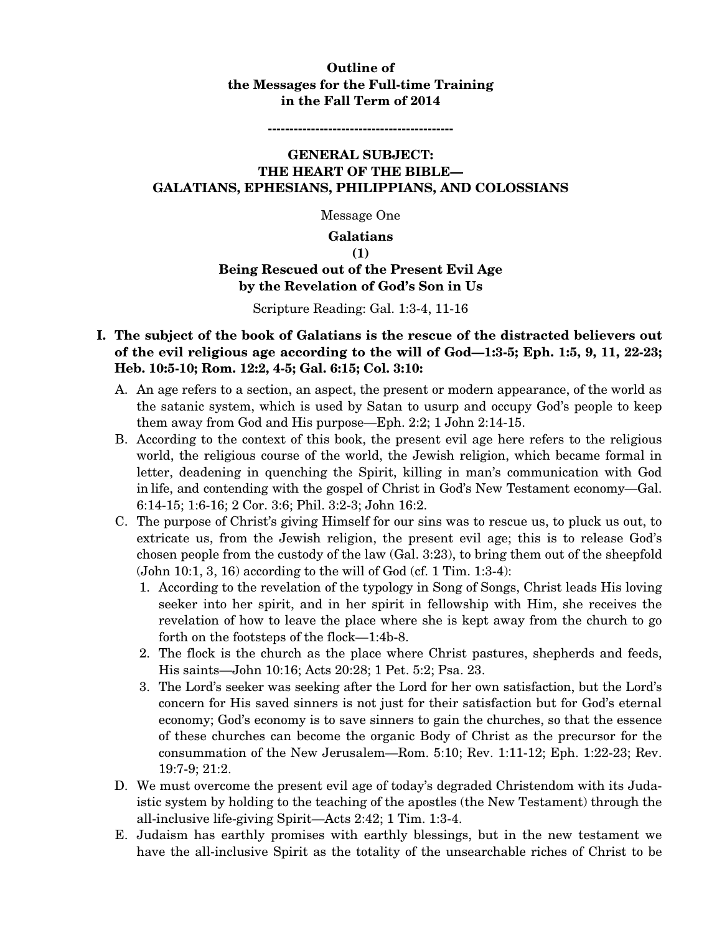### **Outline of the Messages for the Full-time Training in the Fall Term of 2014**

**-------------------------------------------** 

### **GENERAL SUBJECT: THE HEART OF THE BIBLE— GALATIANS, EPHESIANS, PHILIPPIANS, AND COLOSSIANS**

Message One

#### **Galatians**

**(1)** 

# **Being Rescued out of the Present Evil Age by the Revelation of God's Son in Us**

#### Scripture Reading: Gal. 1:3-4, 11-16

### **I. The subject of the book of Galatians is the rescue of the distracted believers out of the evil religious age according to the will of God—1:3-5; Eph. 1:5, 9, 11, 22-23; Heb. 10:5-10; Rom. 12:2, 4-5; Gal. 6:15; Col. 3:10:**

- A. An age refers to a section, an aspect, the present or modern appearance, of the world as the satanic system, which is used by Satan to usurp and occupy God's people to keep them away from God and His purpose—Eph. 2:2; 1 John 2:14-15.
- B. According to the context of this book, the present evil age here refers to the religious world, the religious course of the world, the Jewish religion, which became formal in letter, deadening in quenching the Spirit, killing in man's communication with God in life, and contending with the gospel of Christ in God's New Testament economy—Gal. 6:14-15; 1:6-16; 2 Cor. 3:6; Phil. 3:2-3; John 16:2.
- C. The purpose of Christ's giving Himself for our sins was to rescue us, to pluck us out, to extricate us, from the Jewish religion, the present evil age; this is to release God's chosen people from the custody of the law (Gal. 3:23), to bring them out of the sheepfold (John 10:1, 3, 16) according to the will of God (cf. 1 Tim. 1:3-4):
	- 1. According to the revelation of the typology in Song of Songs, Christ leads His loving seeker into her spirit, and in her spirit in fellowship with Him, she receives the revelation of how to leave the place where she is kept away from the church to go forth on the footsteps of the flock—1:4b-8.
	- 2. The flock is the church as the place where Christ pastures, shepherds and feeds, His saints—John 10:16; Acts 20:28; 1 Pet. 5:2; Psa. 23.
	- 3. The Lord's seeker was seeking after the Lord for her own satisfaction, but the Lord's concern for His saved sinners is not just for their satisfaction but for God's eternal economy; God's economy is to save sinners to gain the churches, so that the essence of these churches can become the organic Body of Christ as the precursor for the consummation of the New Jerusalem—Rom. 5:10; Rev. 1:11-12; Eph. 1:22-23; Rev. 19:7-9; 21:2.
- D. We must overcome the present evil age of today's degraded Christendom with its Judaistic system by holding to the teaching of the apostles (the New Testament) through the all-inclusive life-giving Spirit—Acts 2:42; 1 Tim. 1:3-4.
- E. Judaism has earthly promises with earthly blessings, but in the new testament we have the all-inclusive Spirit as the totality of the unsearchable riches of Christ to be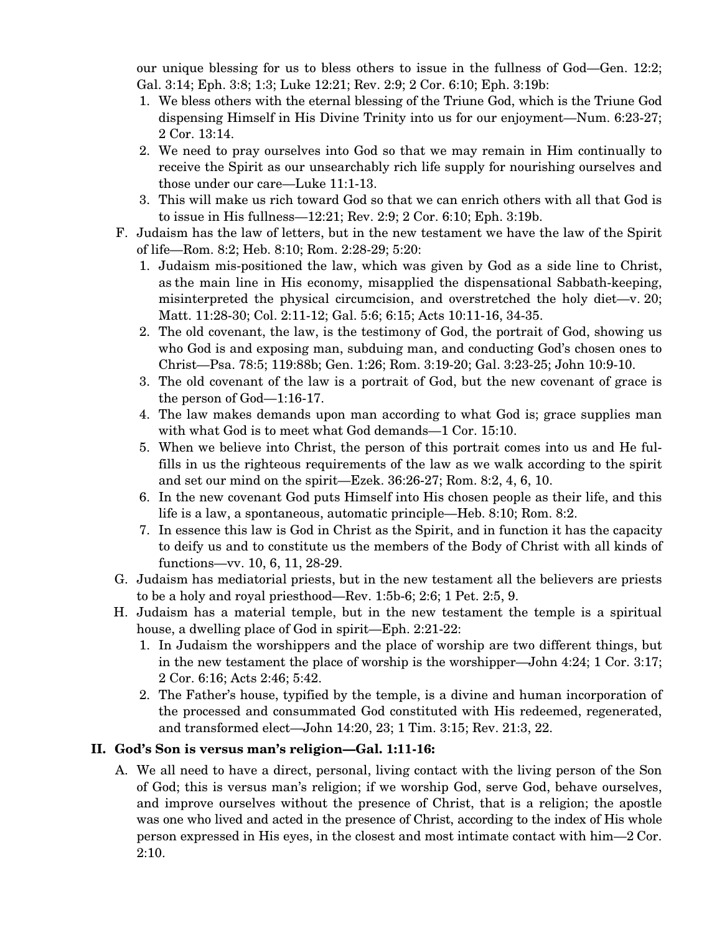our unique blessing for us to bless others to issue in the fullness of God—Gen. 12:2; Gal. 3:14; Eph. 3:8; 1:3; Luke 12:21; Rev. 2:9; 2 Cor. 6:10; Eph. 3:19b:

- 1. We bless others with the eternal blessing of the Triune God, which is the Triune God dispensing Himself in His Divine Trinity into us for our enjoyment—Num. 6:23-27; 2 Cor. 13:14.
- 2. We need to pray ourselves into God so that we may remain in Him continually to receive the Spirit as our unsearchably rich life supply for nourishing ourselves and those under our care—Luke 11:1-13.
- 3. This will make us rich toward God so that we can enrich others with all that God is to issue in His fullness—12:21; Rev. 2:9; 2 Cor. 6:10; Eph. 3:19b.
- F. Judaism has the law of letters, but in the new testament we have the law of the Spirit of life—Rom. 8:2; Heb. 8:10; Rom. 2:28-29; 5:20:
	- 1. Judaism mis-positioned the law, which was given by God as a side line to Christ, as the main line in His economy, misapplied the dispensational Sabbath-keeping, misinterpreted the physical circumcision, and overstretched the holy diet—v. 20; Matt. 11:28-30; Col. 2:11-12; Gal. 5:6; 6:15; Acts 10:11-16, 34-35.
	- 2. The old covenant, the law, is the testimony of God, the portrait of God, showing us who God is and exposing man, subduing man, and conducting God's chosen ones to Christ—Psa. 78:5; 119:88b; Gen. 1:26; Rom. 3:19-20; Gal. 3:23-25; John 10:9-10.
	- 3. The old covenant of the law is a portrait of God, but the new covenant of grace is the person of God—1:16-17.
	- 4. The law makes demands upon man according to what God is; grace supplies man with what God is to meet what God demands—1 Cor. 15:10.
	- 5. When we believe into Christ, the person of this portrait comes into us and He fulfills in us the righteous requirements of the law as we walk according to the spirit and set our mind on the spirit—Ezek. 36:26-27; Rom. 8:2, 4, 6, 10.
	- 6. In the new covenant God puts Himself into His chosen people as their life, and this life is a law, a spontaneous, automatic principle—Heb. 8:10; Rom. 8:2.
	- 7. In essence this law is God in Christ as the Spirit, and in function it has the capacity to deify us and to constitute us the members of the Body of Christ with all kinds of functions—vv. 10, 6, 11, 28-29.
- G. Judaism has mediatorial priests, but in the new testament all the believers are priests to be a holy and royal priesthood—Rev. 1:5b-6; 2:6; 1 Pet. 2:5, 9.
- H. Judaism has a material temple, but in the new testament the temple is a spiritual house, a dwelling place of God in spirit—Eph. 2:21-22:
	- 1. In Judaism the worshippers and the place of worship are two different things, but in the new testament the place of worship is the worshipper—John 4:24; 1 Cor. 3:17; 2 Cor. 6:16; Acts 2:46; 5:42.
	- 2. The Father's house, typified by the temple, is a divine and human incorporation of the processed and consummated God constituted with His redeemed, regenerated, and transformed elect—John 14:20, 23; 1 Tim. 3:15; Rev. 21:3, 22.

# **II. God's Son is versus man's religion—Gal. 1:11-16:**

A. We all need to have a direct, personal, living contact with the living person of the Son of God; this is versus man's religion; if we worship God, serve God, behave ourselves, and improve ourselves without the presence of Christ, that is a religion; the apostle was one who lived and acted in the presence of Christ, according to the index of His whole person expressed in His eyes, in the closest and most intimate contact with him—2 Cor. 2:10.